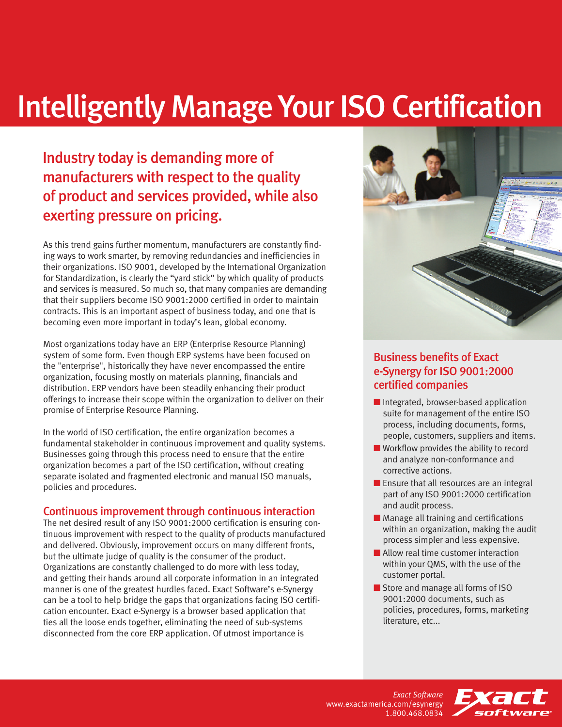# Intelligently Manage Your ISO Certification

### Industry today is demanding more of manufacturers with respect to the quality of product and services provided, while also exerting pressure on pricing.

As this trend gains further momentum, manufacturers are constantly finding ways to work smarter, by removing redundancies and inefficiencies in their organizations. ISO 9001, developed by the International Organization for Standardization, is clearly the "yard stick" by which quality of products and services is measured. So much so, that many companies are demanding that their suppliers become ISO 9001:2000 certified in order to maintain contracts. This is an important aspect of business today, and one that is becoming even more important in today's lean, global economy.

Most organizations today have an ERP (Enterprise Resource Planning) system of some form. Even though ERP systems have been focused on the "enterprise", historically they have never encompassed the entire organization, focusing mostly on materials planning, financials and distribution. ERP vendors have been steadily enhancing their product offerings to increase their scope within the organization to deliver on their promise of Enterprise Resource Planning.

In the world of ISO certification, the entire organization becomes a fundamental stakeholder in continuous improvement and quality systems. Businesses going through this process need to ensure that the entire organization becomes a part of the ISO certification, without creating separate isolated and fragmented electronic and manual ISO manuals, policies and procedures.

#### Continuous improvement through continuous interaction

The net desired result of any ISO 9001:2000 certification is ensuring continuous improvement with respect to the quality of products manufactured and delivered. Obviously, improvement occurs on many different fronts, but the ultimate judge of quality is the consumer of the product. Organizations are constantly challenged to do more with less today, and getting their hands around all corporate information in an integrated manner is one of the greatest hurdles faced. Exact Software's e-Synergy can be a tool to help bridge the gaps that organizations facing ISO certification encounter. Exact e-Synergy is a browser based application that ties all the loose ends together, eliminating the need of sub-systems disconnected from the core ERP application. Of utmost importance is



#### Business benefits of Exact e-Synergy for ISO 9001:2000 certified companies

- Integrated, browser-based application suite for management of the entire ISO process, including documents, forms, people, customers, suppliers and items.
- Workflow provides the ability to record and analyze non-conformance and corrective actions.
- Ensure that all resources are an integral part of any ISO 9001:2000 certification and audit process.
- Manage all training and certifications within an organization, making the audit process simpler and less expensive.
- Allow real time customer interaction within your QMS, with the use of the customer portal.
- Store and manage all forms of ISO 9001:2000 documents, such as policies, procedures, forms, marketing literature, etc...

*Exact Software* www.exactamerica.com/esynergy 1.800.468.0834